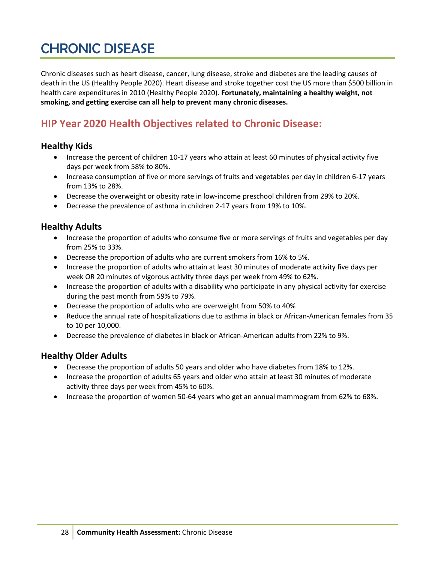## CHRONIC DISEASE

Chronic diseases such as heart disease, cancer, lung disease, stroke and diabetes are the leading causes of death in the US (Healthy People 2020). Heart disease and stroke together cost the US more than \$500 billion in health care expenditures in 2010 (Healthy People 2020). **Fortunately, maintaining a healthy weight, not smoking, and getting exercise can all help to prevent many chronic diseases.**

## **HIP Year 2020 Health Objectives related to Chronic Disease:**

#### **Healthy Kids**

- Increase the percent of children 10-17 years who attain at least 60 minutes of physical activity five days per week from 58% to 80%.
- Increase consumption of five or more servings of fruits and vegetables per day in children 6-17 years from 13% to 28%.
- Decrease the overweight or obesity rate in low-income preschool children from 29% to 20%.
- Decrease the prevalence of asthma in children 2-17 years from 19% to 10%.

#### **Healthy Adults**

- Increase the proportion of adults who consume five or more servings of fruits and vegetables per day from 25% to 33%.
- Decrease the proportion of adults who are current smokers from 16% to 5%.
- Increase the proportion of adults who attain at least 30 minutes of moderate activity five days per week OR 20 minutes of vigorous activity three days per week from 49% to 62%.
- Increase the proportion of adults with a disability who participate in any physical activity for exercise during the past month from 59% to 79%.
- Decrease the proportion of adults who are overweight from 50% to 40%
- Reduce the annual rate of hospitalizations due to asthma in black or African-American females from 35 to 10 per 10,000.
- Decrease the prevalence of diabetes in black or African-American adults from 22% to 9%.

#### **Healthy Older Adults**

- Decrease the proportion of adults 50 years and older who have diabetes from 18% to 12%.
- Increase the proportion of adults 65 years and older who attain at least 30 minutes of moderate activity three days per week from 45% to 60%.
- Increase the proportion of women 50-64 years who get an annual mammogram from 62% to 68%.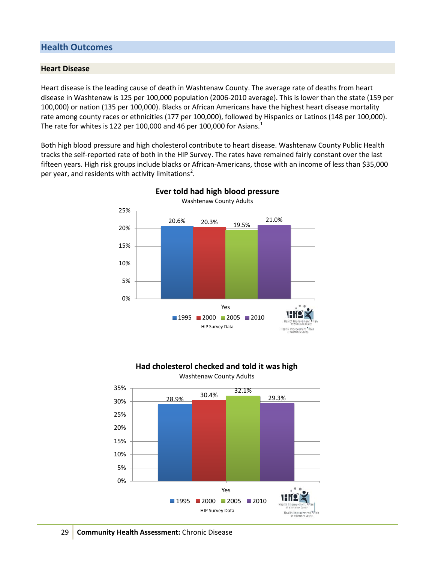#### **Health Outcomes**

#### **Heart Disease**

Heart disease is the leading cause of death in Washtenaw County. The average rate of deaths from heart disease in Washtenaw is 125 per 100,000 population (2006-2010 average). This is lower than the state (159 per 100,000) or nation (135 per 100,000). Blacks or African Americans have the highest heart disease mortality rate among county races or ethnicities (177 per 100,000), followed by Hispanics or Latinos (148 per 100,000). The rate for whites is [1](#page-11-0)22 per 100,000 and 46 per 100,000 for Asians.<sup>1</sup>

Both high blood pressure and high cholesterol contribute to heart disease. Washtenaw County Public Health tracks the self-reported rate of both in the HIP Survey. The rates have remained fairly constant over the last fifteen years. High risk groups include blacks or African-Americans, those with an income of less than \$35,000 per year, and residents with activity limitations<sup>[2](#page-11-1)</sup>.





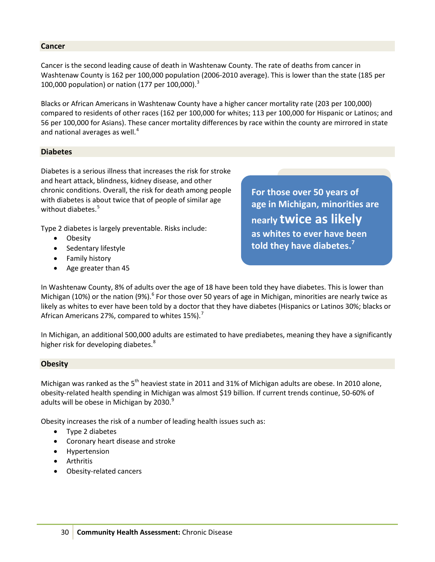#### **Cancer**

Cancer is the second leading cause of death in Washtenaw County. The rate of deaths from cancer in Washtenaw County is 162 per 100,000 population (2006-2010 average). This is lower than the state (185 per 100,000 population) or nation (177 per 100,000).<sup>[3](#page-12-0)</sup>

Blacks or African Americans in Washtenaw County have a higher cancer mortality rate (203 per 100,000) compared to residents of other races (162 per 100,000 for whites; 113 per 100,000 for Hispanic or Latinos; and 56 per 100,000 for Asians). These cancer mortality differences by race within the county are mirrored in state and national averages as well. $<sup>4</sup>$  $<sup>4</sup>$  $<sup>4</sup>$ </sup>

#### **Diabetes**

Diabetes is a serious illness that increases the risk for stroke and heart attack, blindness, kidney disease, and other chronic conditions. Overall, the risk for death among people with diabetes is about twice that of people of similar age without diabetes.<sup>[5](#page-12-2)</sup>

Type 2 diabetes is largely preventable. Risks include:

- Obesity
- Sedentary lifestyle
- Family history
- Age greater than 45

**For those over 50 years of age in Michigan, minorities are nearly twice as likely as whites to ever have been told they have diabetes.<sup>7</sup>**

In Washtenaw County, 8% of adults over the age of 18 have been told they have diabetes. This is lower than Michigan (10%) or the nation (9%).<sup>[6](#page-12-3)</sup> For those over 50 years of age in Michigan, minorities are nearly twice as likely as whites to ever have been told by a doctor that they have diabetes (Hispanics or Latinos 30%; blacks or African Americans 2[7](#page-12-4)%, compared to whites  $15\%$ .<sup>7</sup>

In Michigan, an additional 500,000 adults are estimated to have prediabetes, meaning they have a significantly higher risk for developing diabetes.<sup>[8](#page-12-5)</sup>

#### **Obesity**

Michigan was ranked as the  $5<sup>th</sup>$  heaviest state in 2011 and 31% of Michigan adults are obese. In 2010 alone, obesity-related health spending in Michigan was almost \$19 billion. If current trends continue, 50-60% of adults will be obese in Michigan by 2030. $9$ 

Obesity increases the risk of a number of leading health issues such as:

- Type 2 diabetes
- Coronary heart disease and stroke
- Hypertension
- Arthritis
- Obesity-related cancers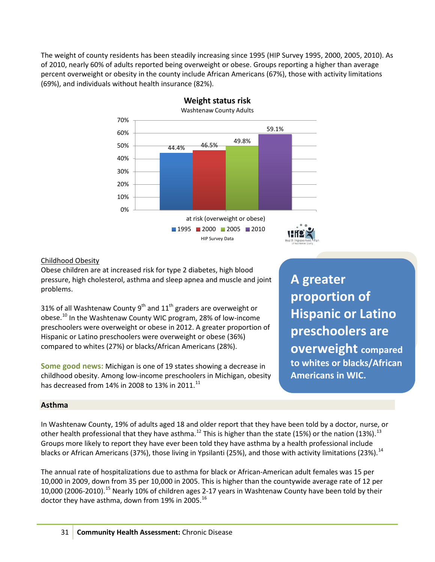The weight of county residents has been steadily increasing since 1995 (HIP Survey 1995, 2000, 2005, 2010). As of 2010, nearly 60% of adults reported being overweight or obese. Groups reporting a higher than average percent overweight or obesity in the county include African Americans (67%), those with activity limitations (69%), and individuals without health insurance (82%).



**Weight status risk**

#### Childhood Obesity

Obese children are at increased risk for type 2 diabetes, high blood pressure, high cholesterol, asthma and sleep apnea and muscle and joint problems.

31% of all Washtenaw County 9<sup>th</sup> and 11<sup>th</sup> graders are overweight or obese.<sup>[10](#page-12-7)</sup> In the Washtenaw County WIC program, 28% of low-income preschoolers were overweight or obese in 2012. A greater proportion of Hispanic or Latino preschoolers were overweight or obese (36%) compared to whites (27%) or blacks/African Americans (28%).

**Some good news:** Michigan is one of 19 states showing a decrease in childhood obesity. Among low-income preschoolers in Michigan, obesity has decreased from 14% in 2008 to 13% in 20[11](#page-12-8).<sup>11</sup>

**A greater proportion of Hispanic or Latino preschoolers are overweight compared to whites or blacks/African Americans in WIC.**

#### **Asthma**

In Washtenaw County, 19% of adults aged 18 and older report that they have been told by a doctor, nurse, or other health professional that they have asthma.<sup>[12](#page-12-9)</sup> This is higher than the state (15%) or the nation ([13](#page-12-10)%).<sup>13</sup> Groups more likely to report they have ever been told they have asthma by a health professional include blacks or African Americans (37%), those living in Ypsilanti (25%), and those with activity limitations (23%).<sup>[14](#page-12-11)</sup>

The annual rate of hospitalizations due to asthma for black or African-American adult females was 15 per 10,000 in 2009, down from 35 per 10,000 in 2005. This is higher than the countywide average rate of 12 per 10,000 (2006-2010).<sup>[15](#page-12-12)</sup> Nearly 10% of children ages 2-17 years in Washtenaw County have been told by their doctor they have asthma, down from 19% in 2005.  $^{16}$  $^{16}$  $^{16}$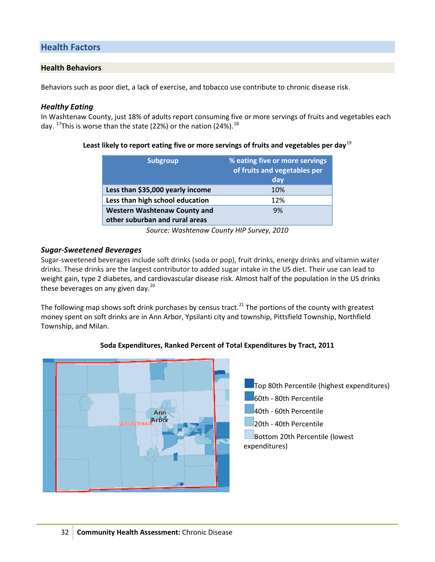#### **Health Factors**

#### **Health Behaviors**

Behaviors such as poor diet, a lack of exercise, and tobacco use contribute to chronic disease risk.

#### *Healthy Eating*

In Washtenaw County, just 18% of adults report consuming five or more servings of fruits and vegetables each day. <sup>[17](#page-12-14)</sup>This is worse than the state (22%) or the nation (24%). <sup>[18](#page-12-15)</sup>

#### **Least likely to report eating five or more servings of fruits and vegetables per day**[19](#page-12-16)

| <b>Subgroup</b>                                                       | % eating five or more servings<br>of fruits and vegetables per<br>day |  |  |
|-----------------------------------------------------------------------|-----------------------------------------------------------------------|--|--|
|                                                                       |                                                                       |  |  |
| Less than \$35,000 yearly income                                      | 10%                                                                   |  |  |
| Less than high school education                                       | 12%                                                                   |  |  |
| <b>Western Washtenaw County and</b><br>other suburban and rural areas | 9%                                                                    |  |  |
|                                                                       |                                                                       |  |  |

*Source: Washtenaw County HIP Survey, 2010*

#### *Sugar-Sweetened Beverages*

Sugar-sweetened beverages include soft drinks (soda or pop), fruit drinks, energy drinks and vitamin water drinks. These drinks are the largest contributor to added sugar intake in the US diet. Their use can lead to weight gain, type 2 diabetes, and cardiovascular disease risk. Almost half of the population in the US drinks these beverages on any given day. $^{20}$  $^{20}$  $^{20}$ 

The following map shows soft drink purchases by census tract.<sup>[21](#page-12-18)</sup> The portions of the county with greatest money spent on soft drinks are in Ann Arbor, Ypsilanti city and township, Pittsfield Township, Northfield Township, and Milan.



#### **Soda Expenditures, Ranked Percent of Total Expenditures by Tract, 2011**

Top 80th Percentile (highest expenditures) 60th - 80th Percentile 40th - 60th Percentile 20th - 40th Percentile Bottom 20th Percentile (lowest expenditures)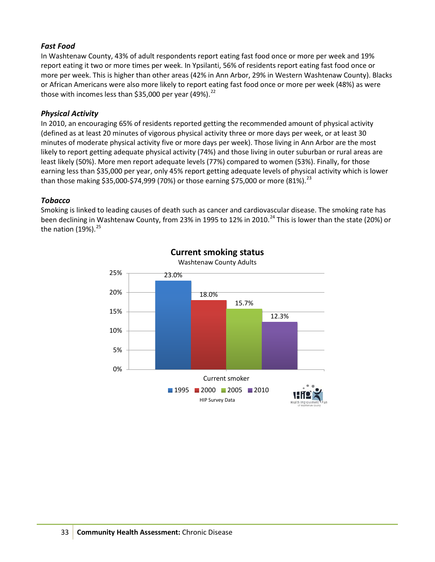#### *Fast Food*

In Washtenaw County, 43% of adult respondents report eating fast food once or more per week and 19% report eating it two or more times per week. In Ypsilanti, 56% of residents report eating fast food once or more per week. This is higher than other areas (42% in Ann Arbor, 29% in Western Washtenaw County). Blacks or African Americans were also more likely to report eating fast food once or more per week (48%) as were those with incomes less than \$35,000 per year (49%). $^{22}$  $^{22}$  $^{22}$ 

#### *Physical Activity*

In 2010, an encouraging 65% of residents reported getting the recommended amount of physical activity (defined as at least 20 minutes of vigorous physical activity three or more days per week, or at least 30 minutes of moderate physical activity five or more days per week). Those living in Ann Arbor are the most likely to report getting adequate physical activity (74%) and those living in outer suburban or rural areas are least likely (50%). More men report adequate levels (77%) compared to women (53%). Finally, for those earning less than \$35,000 per year, only 45% report getting adequate levels of physical activity which is lower than those making \$35,000-\$74,999 (70%) or those earning \$75,000 or more (81%).<sup>[23](#page-12-20)</sup>

#### *Tobacco*

Smoking is linked to leading causes of death such as cancer and cardiovascular disease. The smoking rate has been declining in Washtenaw County, from 23% in 1995 to 12% in 2010.<sup>[24](#page-12-21)</sup> This is lower than the state (20%) or the nation (19%).<sup>[25](#page-12-22)</sup>



### **Current smoking status**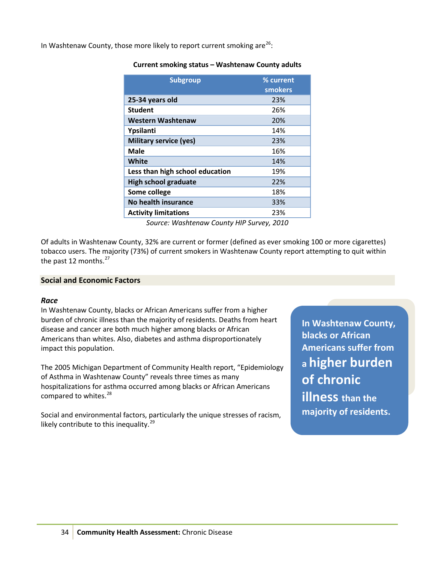In Washtenaw County, those more likely to report current smoking are<sup>[26](#page-12-23)</sup>:

#### **Current smoking status – Washtenaw County adults**

| <b>Subgroup</b>                 | % current<br><b>smokers</b> |
|---------------------------------|-----------------------------|
| 25-34 years old                 | 23%                         |
| <b>Student</b>                  | 26%                         |
| <b>Western Washtenaw</b>        | 20%                         |
| Ypsilanti                       | 14%                         |
| <b>Military service (yes)</b>   | 23%                         |
| Male                            | 16%                         |
| White                           | 14%                         |
| Less than high school education | 19%                         |
| <b>High school graduate</b>     | 22%                         |
| Some college                    | 18%                         |
| <b>No health insurance</b>      | 33%                         |
| <b>Activity limitations</b>     | 23%                         |

*Source: Washtenaw County HIP Survey, 2010*

Of adults in Washtenaw County, 32% are current or former (defined as ever smoking 100 or more cigarettes) tobacco users. The majority (73%) of current smokers in Washtenaw County report attempting to quit within the past 12 months. $27$ 

#### **Social and Economic Factors**

#### *Race*

In Washtenaw County, blacks or African Americans suffer from a higher burden of chronic illness than the majority of residents. Deaths from heart disease and cancer are both much higher among blacks or African Americans than whites. Also, diabetes and asthma disproportionately impact this population.

The 2005 Michigan Department of Community Health report, "Epidemiology of Asthma in Washtenaw County" reveals three times as many hospitalizations for asthma occurred among blacks or African Americans compared to whites.<sup>[28](#page-12-25)</sup>

Social and environmental factors, particularly the unique stresses of racism, likely contribute to this inequality.<sup>[29](#page-12-26)</sup>

**In Washtenaw County, blacks or African Americans suffer from a higher burden of chronic illness than the majority of residents.**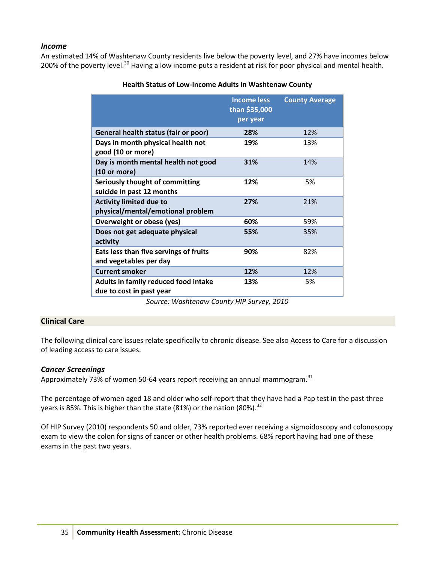#### *Income*

An estimated 14% of Washtenaw County residents live below the poverty level, and 27% have incomes below 200% of the poverty level.<sup>[30](#page-12-27)</sup> Having a low income puts a resident at risk for poor physical and mental health.

|                                                                     | <b>Income less</b><br>than \$35,000<br>per year | <b>County Average</b> |
|---------------------------------------------------------------------|-------------------------------------------------|-----------------------|
| General health status (fair or poor)                                | 28%                                             | 12%                   |
| Days in month physical health not<br>good (10 or more)              | 19%                                             | 13%                   |
| Day is month mental health not good<br>(10 or more)                 | 31%                                             | 14%                   |
| Seriously thought of committing<br>suicide in past 12 months        | 12%                                             | 5%                    |
| <b>Activity limited due to</b><br>physical/mental/emotional problem | 27%                                             | 21%                   |
| Overweight or obese (yes)                                           | 60%                                             | 59%                   |
| Does not get adequate physical<br>activity                          | 55%                                             | 35%                   |
| Eats less than five servings of fruits<br>and vegetables per day    | 90%                                             | 82%                   |
| <b>Current smoker</b>                                               | 12%                                             | 12%                   |
| Adults in family reduced food intake<br>due to cost in past year    | 13%                                             | 5%                    |

#### **Health Status of Low-Income Adults in Washtenaw County**

*Source: Washtenaw County HIP Survey, 2010*

#### **Clinical Care**

The following clinical care issues relate specifically to chronic disease. See also Access to Care for a discussion of leading access to care issues.

#### *Cancer Screenings*

Approximately 73% of women 50-64 years report receiving an annual mammogram.<sup>[31](#page-12-28)</sup>

The percentage of women aged 18 and older who self-report that they have had a Pap test in the past three years is 85%. This is higher than the state (81%) or the nation (80%).  $32$ 

Of HIP Survey (2010) respondents 50 and older, 73% reported ever receiving a sigmoidoscopy and colonoscopy exam to view the colon for signs of cancer or other health problems. 68% report having had one of these exams in the past two years.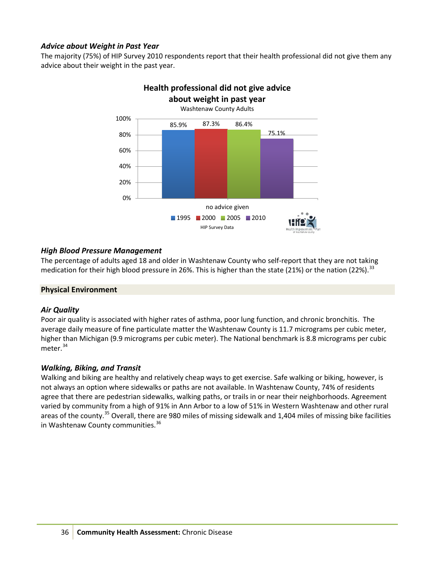#### *Advice about Weight in Past Year*

The majority (75%) of HIP Survey 2010 respondents report that their health professional did not give them any advice about their weight in the past year.



# **Health professional did not give advice**

#### *High Blood Pressure Management*

The percentage of adults aged 18 and older in Washtenaw County who self-report that they are not taking medication for their high blood pressure in 26%. This is higher than the state (21%) or the nation (22%).  $33$ 

#### **Physical Environment**

#### *Air Quality*

Poor air quality is associated with higher rates of asthma, poor lung function, and chronic bronchitis. The average daily measure of fine particulate matter the Washtenaw County is 11.7 micrograms per cubic meter, higher than Michigan (9.9 micrograms per cubic meter). The National benchmark is 8.8 micrograms per cubic meter.<sup>[34](#page-12-31)</sup>

#### *Walking, Biking, and Transit*

Walking and biking are healthy and relatively cheap ways to get exercise. Safe walking or biking, however, is not always an option where sidewalks or paths are not available. In Washtenaw County, 74% of residents agree that there are pedestrian sidewalks, walking paths, or trails in or near their neighborhoods. Agreement varied by community from a high of 91% in Ann Arbor to a low of 51% in Western Washtenaw and other rural areas of the county.<sup>[35](#page-12-32)</sup> Overall, there are 980 miles of missing sidewalk and 1,404 miles of missing bike facilities in Washtenaw County communities.<sup>[36](#page-12-33)</sup>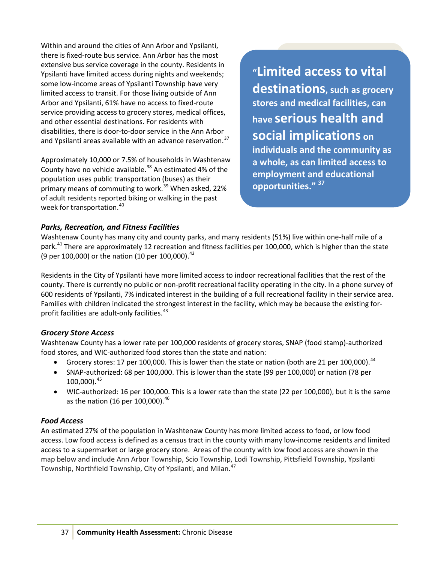Within and around the cities of Ann Arbor and Ypsilanti, there is fixed-route bus service. Ann Arbor has the most extensive bus service coverage in the county. Residents in Ypsilanti have limited access during nights and weekends; some low-income areas of Ypsilanti Township have very limited access to transit. For those living outside of Ann Arbor and Ypsilanti, 61% have no access to fixed-route service providing access to grocery stores, medical offices, and other essential destinations. For residents with disabilities, there is door-to-door service in the Ann Arbor and Ypsilanti areas available with an advance reservation.<sup>[37](#page-12-34)</sup>

Approximately 10,000 or 7.5% of households in Washtenaw County have no vehicle available.<sup>[38](#page-12-35)</sup> An estimated 4% of the population uses public transportation (buses) as their primary means of commuting to work.<sup>[39](#page-12-36)</sup> When asked, 22% of adult residents reported biking or walking in the past week for transportation.<sup>[40](#page-12-37)</sup>

**"Limited access to vital destinations, such as grocery stores and medical facilities, can have serious health and social implications on individuals and the community as a whole, as can limited access to employment and educational opportunities." 37**

#### *Parks, Recreation, and Fitness Facilities*

Washtenaw County has many city and county parks, and many residents (51%) live within one-half mile of a park.<sup>[41](#page-12-38)</sup> There are approximately 12 recreation and fitness facilities per 100,000, which is higher than the state (9 per 100,000) or the nation (10 per 100,000).  $42$ 

Residents in the City of Ypsilanti have more limited access to indoor recreational facilities that the rest of the county. There is currently no public or non-profit recreational facility operating in the city. In a phone survey of 600 residents of Ypsilanti, 7% indicated interest in the building of a full recreational facility in their service area. Families with children indicated the strongest interest in the facility, which may be because the existing for-profit facilities are adult-only facilities.<sup>[43](#page-12-40)</sup>

#### *Grocery Store Access*

Washtenaw County has a lower rate per 100,000 residents of grocery stores, SNAP (food stamp)-authorized food stores, and WIC-authorized food stores than the state and nation:

- Grocery stores: 17 per 100,000. This is lower than the state or nation (both are 21 per 100,000).  $^{44}$  $^{44}$  $^{44}$
- SNAP-authorized: 68 per 100,000. This is lower than the state (99 per 100,000) or nation (78 per 100,000).[45](#page-12-42)
- WIC-authorized: 16 per 100,000. This is a lower rate than the state (22 per 100,000), but it is the same as the nation (16 per 100,000).  $46$

#### *Food Access*

An estimated 27% of the population in Washtenaw County has more limited access to food, or low food access. Low food access is defined as a census tract in the county with many low-income residents and limited access to a supermarket or large grocery store. Areas of the county with low food access are shown in the map below and include Ann Arbor Township, Scio Township, Lodi Township, Pittsfield Township, Ypsilanti Township, Northfield Township, City of Ypsilanti, and Milan.<sup>[47](#page-12-44)</sup>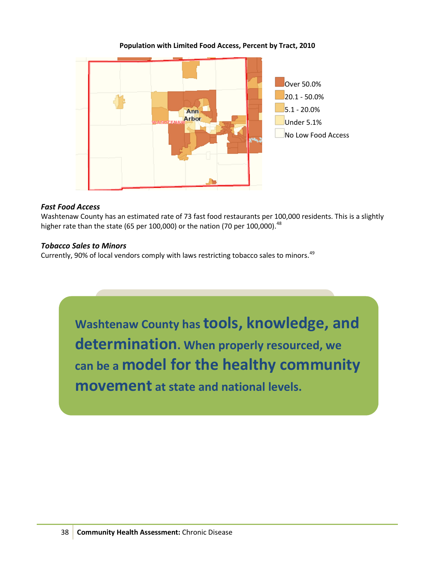

#### **Population with Limited Food Access, Percent by Tract, 2010**

#### *Fast Food Access*

Washtenaw County has an estimated rate of 73 fast food restaurants per 100,000 residents. This is a slightly higher rate than the state (65 per 100,000) or the nation (70 per 100,000).<sup>[48](#page-12-45)</sup>

#### *Tobacco Sales to Minors*

Currently, 90% of local vendors comply with laws restricting tobacco sales to minors.<sup>[49](#page-12-46)</sup>

**Washtenaw County has tools, knowledge, and determination. When properly resourced, we can be a model for the healthy community movement at state and national levels.**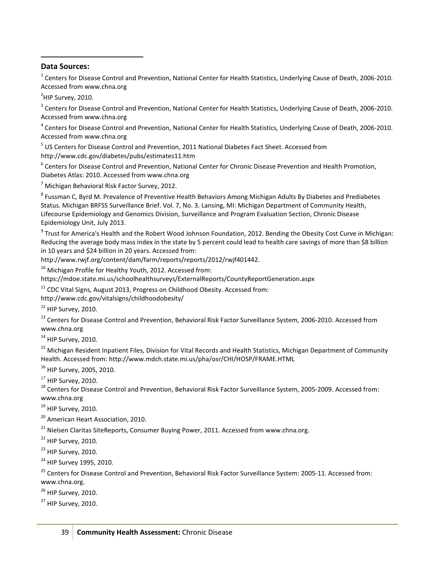#### <span id="page-11-0"></span>**Data Sources:**

 $\overline{a}$ 

 $1$  Centers for Disease Control and Prevention, National Center for Health Statistics, Underlying Cause of Death, 2006-2010. Accessed from www.chna.org

<span id="page-11-1"></span><sup>2</sup>HIP Survey, 2010.

<sup>3</sup> Centers for Disease Control and Prevention, National Center for Health Statistics, Underlying Cause of Death, 2006-2010. Accessed from www.chna.org

<sup>4</sup> Centers for Disease Control and Prevention, National Center for Health Statistics, Underlying Cause of Death, 2006-2010. Accessed from www.chna.org

<sup>5</sup> US Centers for Disease Control and Prevention, 2011 National Diabetes Fact Sheet. Accessed from http://www.cdc.gov/diabetes/pubs/estimates11.htm

<sup>6</sup> Centers for Disease Control and Prevention, National Center for Chronic Disease Prevention and Health Promotion, Diabetes Atlas: 2010. Accessed from www.chna.org

 $7$  Michigan Behavioral Risk Factor Survey, 2012.

<sup>8</sup> Fussman C, Byrd M. Prevalence of Preventive Health Behaviors Among Michigan Adults By Diabetes and Prediabetes Status. Michigan BRFSS Surveillance Brief. Vol. 7, No. 3. Lansing, MI: Michigan Department of Community Health, Lifecourse Epidemiology and Genomics Division, Surveillance and Program Evaluation Section, Chronic Disease Epidemiology Unit, July 2013.

 $9$  Trust for America's Health and the Robert Wood Johnson Foundation, 2012. Bending the Obesity Cost Curve in Michigan: Reducing the average body mass index in the state by 5 percent could lead to health care savings of more than \$8 billion in 10 years and \$24 billion in 20 years. Accessed from:

http://www.rwjf.org/content/dam/farm/reports/reports/2012/rwjf401442.

<sup>10</sup> Michigan Profile for Healthy Youth, 2012. Accessed from:

https://mdoe.state.mi.us/schoolhealthsurveys/ExternalReports/CountyReportGeneration.aspx

 $11$  CDC Vital Signs, August 2013, Progress on Childhood Obesity. Accessed from:

http://www.cdc.gov/vitalsigns/childhoodobesity/

 $12$  HIP Survey, 2010.

<sup>13</sup> Centers for Disease Control and Prevention, Behavioral Risk Factor Surveillance System, 2006-2010. Accessed from www.chna.org

 $14$  HIP Survey, 2010.

<sup>15</sup> Michigan Resident Inpatient Files, Division for Vital Records and Health Statistics, Michigan Department of Community Health. Accessed from: http://www.mdch.state.mi.us/pha/osr/CHI/HOSP/FRAME.HTML

<sup>16</sup> HIP Survey, 2005, 2010.

<sup>17</sup> HIP Survey, 2010.<br><sup>18</sup> Centers for Disease Control and Prevention, Behavioral Risk Factor Surveillance System, 2005-2009. Accessed from: www.chna.org

 $19$  HIP Survey, 2010.

<sup>20</sup> American Heart Association, 2010.

 $21$  Nielsen Claritas SiteReports, Consumer Buying Power, 2011. Accessed from www.chna.org.

 $22$  HIP Survey, 2010.

 $^{23}$  HIP Survey, 2010.

<sup>24</sup> HIP Survey 1995, 2010.

<sup>25</sup> Centers for Disease Control and Prevention, Behavioral Risk Factor Surveillance System: 2005-11. Accessed from: www.chna.org.

<sup>26</sup> HIP Survey, 2010.

 $27$  HIP Survey, 2010.